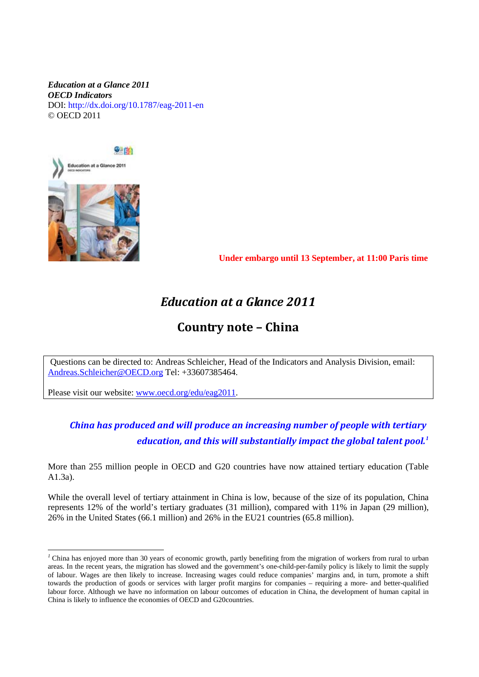#### *Education at a Glance 2011 OECD Indicators*  DOI: http://dx.doi.org/10.1787/eag-2011-en © OECD 2011



 **Under embargo until 13 September, at 11:00 Paris time**

# *Education at a Glance 2011*

## **Country note – China**

Questions can be directed to: Andreas Schleicher, Head of the Indicators and Analysis Division, email: [Andreas.Schleicher@OECD.org](mailto:Andreas.Schleicher@OECD.org) Tel: +33607385464.

Please visit our website: [www.oecd.org/edu/eag2011.](http://www.oecd.org/edu/eag2011)

## *China has produced and will produce an increasing number of people with tertiary education, and this will substantially impact the global talent pool. [1](#page-0-0)*

More than 255 million people in OECD and G20 countries have now attained tertiary education (Table A1.3a).

While the overall level of tertiary attainment in China is low, because of the size of its population, China represents 12% of the world's tertiary graduates (31 million), compared with 11% in Japan (29 million), 26% in the United States (66.1 million) and 26% in the EU21 countries (65.8 million).

<span id="page-0-0"></span><sup>&</sup>lt;sup>1</sup> China has enjoyed more than 30 years of economic growth, partly benefiting from the migration of workers from rural to urban areas. In the recent years, the migration has slowed and the government's one-child-per-family policy is likely to limit the supply of labour. Wages are then likely to increase. Increasing wages could reduce companies' margins and, in turn, promote a shift towards the production of goods or services with larger profit margins for companies – requiring a more- and better-qualified labour force. Although we have no information on labour outcomes of education in China, the development of human capital in China is likely to influence the economies of OECD and G20countries.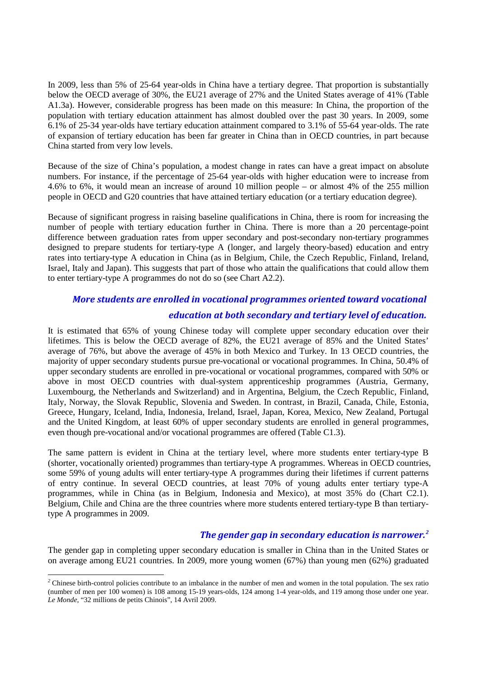In 2009, less than 5% of 25-64 year-olds in China have a tertiary degree. That proportion is substantially below the OECD average of 30%, the EU21 average of 27% and the United States average of 41% (Table A1.3a). However, considerable progress has been made on this measure: In China, the proportion of the population with tertiary education attainment has almost doubled over the past 30 years. In 2009, some 6.1% of 25-34 year-olds have tertiary education attainment compared to 3.1% of 55-64 year-olds. The rate of expansion of tertiary education has been far greater in China than in OECD countries, in part because China started from very low levels.

Because of the size of China's population, a modest change in rates can have a great impact on absolute numbers. For instance, if the percentage of 25-64 year-olds with higher education were to increase from 4.6% to 6%, it would mean an increase of around 10 million people – or almost 4% of the 255 million people in OECD and G20 countries that have attained tertiary education (or a tertiary education degree).

Because of significant progress in raising baseline qualifications in China, there is room for increasing the number of people with tertiary education further in China. There is more than a 20 percentage-point difference between graduation rates from upper secondary and post-secondary non-tertiary programmes designed to prepare students for tertiary-type A (longer, and largely theory-based) education and entry rates into tertiary-type A education in China (as in Belgium, Chile, the Czech Republic, Finland, Ireland, Israel, Italy and Japan). This suggests that part of those who attain the qualifications that could allow them to enter tertiary-type A programmes do not do so (see Chart A2.2).

#### *More students are enrolled in vocational programmes oriented toward vocational*

#### *education at both secondary and tertiary level of education.*

It is estimated that 65% of young Chinese today will complete upper secondary education over their lifetimes. This is below the OECD average of 82%, the EU21 average of 85% and the United States' average of 76%, but above the average of 45% in both Mexico and Turkey. In 13 OECD countries, the majority of upper secondary students pursue pre-vocational or vocational programmes. In China, 50.4% of upper secondary students are enrolled in pre-vocational or vocational programmes, compared with 50% or above in most OECD countries with dual-system apprenticeship programmes (Austria, Germany, Luxembourg, the Netherlands and Switzerland) and in Argentina, Belgium, the Czech Republic, Finland, Italy, Norway, the Slovak Republic, Slovenia and Sweden. In contrast, in Brazil, Canada, Chile, Estonia, Greece, Hungary, Iceland, India, Indonesia, Ireland, Israel, Japan, Korea, Mexico, New Zealand, Portugal and the United Kingdom, at least 60% of upper secondary students are enrolled in general programmes, even though pre-vocational and/or vocational programmes are offered (Table C1.3).

The same pattern is evident in China at the tertiary level, where more students enter tertiary-type B (shorter, vocationally oriented) programmes than tertiary-type A programmes. Whereas in OECD countries, some 59% of young adults will enter tertiary-type A programmes during their lifetimes if current patterns of entry continue. In several OECD countries, at least 70% of young adults enter tertiary type-A programmes, while in China (as in Belgium, Indonesia and Mexico), at most 35% do (Chart C2.1). Belgium, Chile and China are the three countries where more students entered tertiary-type B than tertiarytype A programmes in 2009.

### *The gender gap in secondary education is narrower. [2](#page-1-0)*

The gender gap in completing upper secondary education is smaller in China than in the United States or on average among EU21 countries. In 2009, more young women (67%) than young men (62%) graduated

<span id="page-1-0"></span><sup>&</sup>lt;sup>2</sup> Chinese birth-control policies contribute to an imbalance in the number of men and women in the total population. The sex ratio (number of men per 100 women) is 108 among 15-19 years-olds, 124 among 1-4 year-olds, and 119 among those under one year. *Le Monde*, "32 millions de petits Chinois", 14 Avril 2009.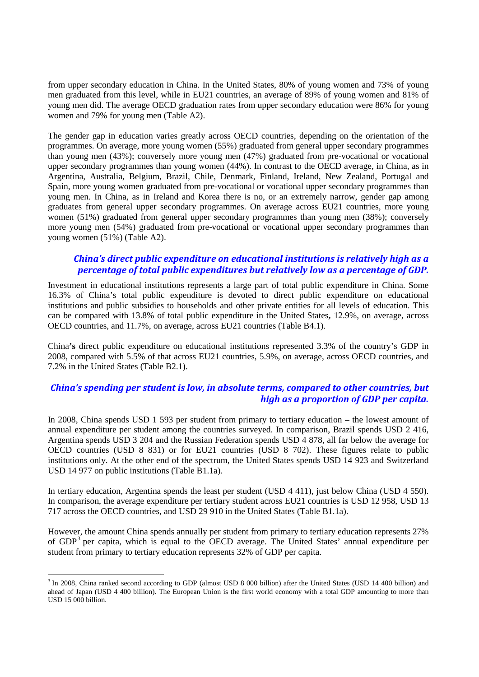from upper secondary education in China. In the United States, 80% of young women and 73% of young men graduated from this level, while in EU21 countries, an average of 89% of young women and 81% of young men did. The average OECD graduation rates from upper secondary education were 86% for young women and 79% for young men (Table A2).

The gender gap in education varies greatly across OECD countries, depending on the orientation of the programmes. On average, more young women (55%) graduated from general upper secondary programmes than young men (43%); conversely more young men (47%) graduated from pre-vocational or vocational upper secondary programmes than young women (44%). In contrast to the OECD average, in China, as in Argentina, Australia, Belgium, Brazil, Chile, Denmark, Finland, Ireland, New Zealand, Portugal and Spain, more young women graduated from pre-vocational or vocational upper secondary programmes than young men. In China, as in Ireland and Korea there is no, or an extremely narrow, gender gap among graduates from general upper secondary programmes. On average across EU21 countries, more young women (51%) graduated from general upper secondary programmes than young men (38%); conversely more young men (54%) graduated from pre-vocational or vocational upper secondary programmes than young women (51%) (Table A2).

### *China's direct public expenditure on educational institutions is relatively high as a percentage of total public expenditures but relatively low as a percentage of GDP.*

Investment in educational institutions represents a large part of total public expenditure in China. Some 16.3% of China's total public expenditure is devoted to direct public expenditure on educational institutions and public subsidies to households and other private entities for all levels of education. This can be compared with 13.8% of total public expenditure in the United States**,** 12.9%, on average, across OECD countries, and 11.7%, on average, across EU21 countries (Table B4.1).

China**'s** direct public expenditure on educational institutions represented 3.3% of the country's GDP in 2008, compared with 5.5% of that across EU21 countries, 5.9%, on average, across OECD countries, and 7.2% in the United States (Table B2.1).

### *China's spending per student is low, in absolute terms, compared to other countries, but high as a proportion of GDP per capita.*

In 2008, China spends USD 1 593 per student from primary to tertiary education – the lowest amount of annual expenditure per student among the countries surveyed. In comparison, Brazil spends USD 2 416, Argentina spends USD 3 204 and the Russian Federation spends USD 4 878, all far below the average for OECD countries (USD 8 831) or for EU21 countries (USD 8 702). These figures relate to public institutions only. At the other end of the spectrum, the United States spends USD 14 923 and Switzerland USD 14 977 on public institutions (Table B1.1a).

In tertiary education, Argentina spends the least per student (USD 4 411), just below China (USD 4 550). In comparison, the average expenditure per tertiary student across EU21 countries is USD 12 958, USD 13 717 across the OECD countries, and USD 29 910 in the United States (Table B1.1a).

However, the amount China spends annually per student from primary to tertiary education represents 27% of GDP[3](#page-2-0) per capita, which is equal to the OECD average. The United States' annual expenditure per student from primary to tertiary education represents 32% of GDP per capita.

<span id="page-2-0"></span><sup>&</sup>lt;sup>3</sup> In 2008, China ranked second according to GDP (almost USD 8 000 billion) after the United States (USD 14 400 billion) and ahead of Japan (USD 4 400 billion). The European Union is the first world economy with a total GDP amounting to more than USD 15 000 billion.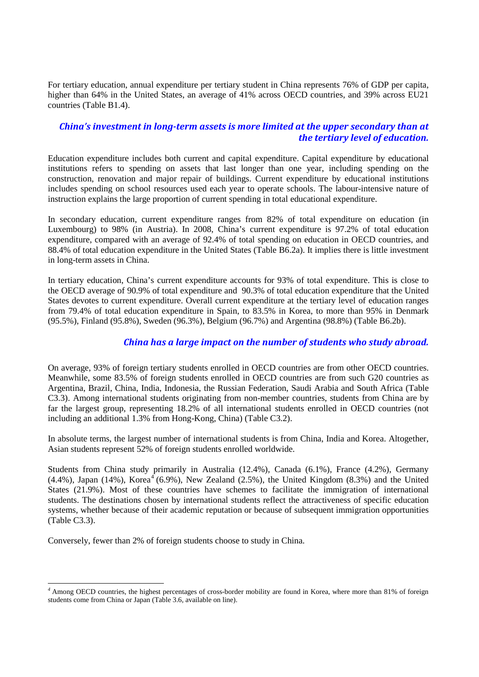For tertiary education, annual expenditure per tertiary student in China represents 76% of GDP per capita, higher than 64% in the United States, an average of 41% across OECD countries, and 39% across EU21 countries (Table B1.4).

### *China's investment in long-term assets is more limited at the upper secondary than at the tertiary level of education.*

Education expenditure includes both current and capital expenditure. Capital expenditure by educational institutions refers to spending on assets that last longer than one year, including spending on the construction, renovation and major repair of buildings. Current expenditure by educational institutions includes spending on school resources used each year to operate schools. The labour-intensive nature of instruction explains the large proportion of current spending in total educational expenditure.

In secondary education, current expenditure ranges from 82% of total expenditure on education (in Luxembourg) to 98% (in Austria). In 2008, China's current expenditure is 97.2% of total education expenditure, compared with an average of 92.4% of total spending on education in OECD countries, and 88.4% of total education expenditure in the United States (Table B6.2a). It implies there is little investment in long-term assets in China.

In tertiary education, China's current expenditure accounts for 93% of total expenditure. This is close to the OECD average of 90.9% of total expenditure and 90.3% of total education expenditure that the United States devotes to current expenditure. Overall current expenditure at the tertiary level of education ranges from 79.4% of total education expenditure in Spain, to 83.5% in Korea, to more than 95% in Denmark (95.5%), Finland (95.8%), Sweden (96.3%), Belgium (96.7%) and Argentina (98.8%) (Table B6.2b).

### *China has a large impact on the number of students who study abroad.*

On average, 93% of foreign tertiary students enrolled in OECD countries are from other OECD countries. Meanwhile, some 83.5% of foreign students enrolled in OECD countries are from such G20 countries as Argentina, Brazil, China, India, Indonesia, the Russian Federation, Saudi Arabia and South Africa (Table C3.3). Among international students originating from non-member countries, students from China are by far the largest group, representing 18.2% of all international students enrolled in OECD countries (not including an additional 1.3% from Hong-Kong, China) (Table C3.2).

In absolute terms, the largest number of international students is from China, India and Korea. Altogether, Asian students represent 52% of foreign students enrolled worldwide.

Students from China study primarily in Australia (12.4%), Canada (6.1%), France (4.2%), Germany  $(4.4\%)$  $(4.4\%)$  $(4.4\%)$ , Japan  $(14\%)$ , Korea<sup>4</sup>  $(6.9\%)$ , New Zealand  $(2.5\%)$ , the United Kingdom  $(8.3\%)$  and the United States (21.9%). Most of these countries have schemes to facilitate the immigration of international students. The destinations chosen by international students reflect the attractiveness of specific education systems, whether because of their academic reputation or because of subsequent immigration opportunities (Table C3.3).

Conversely, fewer than 2% of foreign students choose to study in China.

<span id="page-3-0"></span>*<sup>4</sup>* Among OECD countries, the highest percentages of cross-border mobility are found in Korea, where more than 81% of foreign students come from China or Japan (Table 3.6, available on line).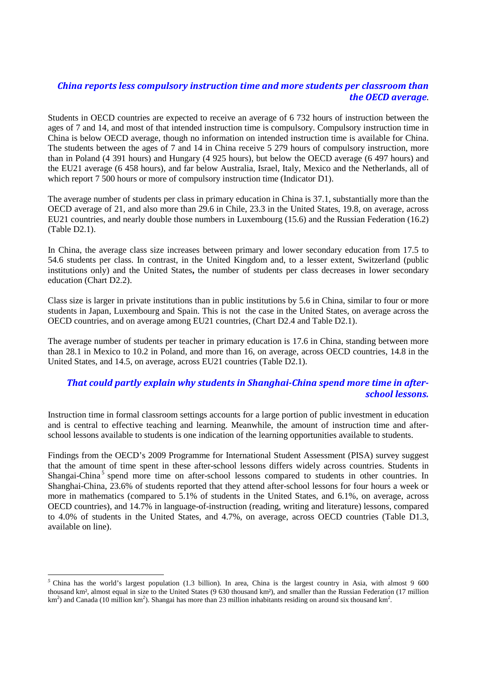## *China reports less compulsory instruction time and more students per classroom than the OECD average*.

Students in OECD countries are expected to receive an average of 6 732 hours of instruction between the ages of 7 and 14, and most of that intended instruction time is compulsory. Compulsory instruction time in China is below OECD average, though no information on intended instruction time is available for China. The students between the ages of 7 and 14 in China receive 5 279 hours of compulsory instruction, more than in Poland (4 391 hours) and Hungary (4 925 hours), but below the OECD average (6 497 hours) and the EU21 average (6 458 hours), and far below Australia, Israel, Italy, Mexico and the Netherlands, all of which report 7 500 hours or more of compulsory instruction time (Indicator D1).

The average number of students per class in primary education in China is 37.1, substantially more than the OECD average of 21, and also more than 29.6 in Chile, 23.3 in the United States, 19.8, on average, across EU21 countries, and nearly double those numbers in Luxembourg (15.6) and the Russian Federation (16.2) (Table D2.1).

In China, the average class size increases between primary and lower secondary education from 17.5 to 54.6 students per class. In contrast, in the United Kingdom and, to a lesser extent, Switzerland (public institutions only) and the United States**,** the number of students per class decreases in lower secondary education (Chart D2.2).

Class size is larger in private institutions than in public institutions by 5.6 in China, similar to four or more students in Japan, Luxembourg and Spain. This is not the case in the United States, on average across the OECD countries, and on average among EU21 countries, (Chart D2.4 and Table D2.1).

The average number of students per teacher in primary education is 17.6 in China, standing between more than 28.1 in Mexico to 10.2 in Poland, and more than 16, on average, across OECD countries, 14.8 in the United States, and 14.5, on average, across EU21 countries (Table D2.1).

## *That could partly explain why students in Shanghai-China spend more time in afterschool lessons.*

Instruction time in formal classroom settings accounts for a large portion of public investment in education and is central to effective teaching and learning. Meanwhile, the amount of instruction time and afterschool lessons available to students is one indication of the learning opportunities available to students.

Findings from the OECD's 2009 Programme for International Student Assessment (PISA) survey suggest that the amount of time spent in these after-school lessons differs widely across countries. Students in Shangai-China<sup>[5](#page-4-0)</sup> spend more time on after-school lessons compared to students in other countries. In Shanghai-China, 23.6% of students reported that they attend after-school lessons for four hours a week or more in mathematics (compared to 5.1% of students in the United States, and 6.1%, on average, across OECD countries), and 14.7% in language-of-instruction (reading, writing and literature) lessons, compared to 4.0% of students in the United States, and 4.7%, on average, across OECD countries (Table D1.3, available on line).

<span id="page-4-0"></span> $<sup>5</sup>$  China has the world's largest population (1.3 billion). In area, China is the largest country in Asia, with almost 9 600</sup> thousand km², almost equal in size to the United States (9 630 thousand km²), and smaller than the Russian Federation (17 million  $km<sup>2</sup>$ ) and Canada (10 million km<sup>2</sup>). Shangai has more than 23 million inhabitants residing on around six thousand km<sup>2</sup>.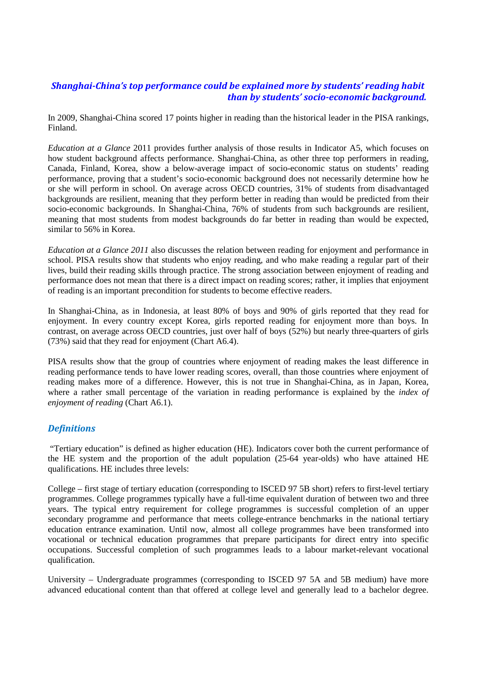## *Shanghai-China's top performance could be explained more by students' reading habit than by students' socio-economic background.*

In 2009, Shanghai-China scored 17 points higher in reading than the historical leader in the PISA rankings, Finland.

*Education at a Glance* 2011 provides further analysis of those results in Indicator A5, which focuses on how student background affects performance. Shanghai-China, as other three top performers in reading, Canada, Finland, Korea, show a below-average impact of socio-economic status on students' reading performance, proving that a student's socio-economic background does not necessarily determine how he or she will perform in school. On average across OECD countries, 31% of students from disadvantaged backgrounds are resilient, meaning that they perform better in reading than would be predicted from their socio-economic backgrounds. In Shanghai-China, 76% of students from such backgrounds are resilient, meaning that most students from modest backgrounds do far better in reading than would be expected, similar to 56% in Korea.

*Education at a Glance 2011* also discusses the relation between reading for enjoyment and performance in school. PISA results show that students who enjoy reading, and who make reading a regular part of their lives, build their reading skills through practice. The strong association between enjoyment of reading and performance does not mean that there is a direct impact on reading scores; rather, it implies that enjoyment of reading is an important precondition for students to become effective readers.

In Shanghai-China, as in Indonesia, at least 80% of boys and 90% of girls reported that they read for enjoyment. In every country except Korea, girls reported reading for enjoyment more than boys. In contrast, on average across OECD countries, just over half of boys (52%) but nearly three-quarters of girls (73%) said that they read for enjoyment (Chart A6.4).

PISA results show that the group of countries where enjoyment of reading makes the least difference in reading performance tends to have lower reading scores, overall, than those countries where enjoyment of reading makes more of a difference. However, this is not true in Shanghai-China, as in Japan, Korea, where a rather small percentage of the variation in reading performance is explained by the *index of enjoyment of reading* (Chart A6.1).

### *Definitions*

"Tertiary education" is defined as higher education (HE). Indicators cover both the current performance of the HE system and the proportion of the adult population (25-64 year-olds) who have attained HE qualifications. HE includes three levels:

College – first stage of tertiary education (corresponding to ISCED 97 5B short) refers to first-level tertiary programmes. College programmes typically have a full-time equivalent duration of between two and three years. The typical entry requirement for college programmes is successful completion of an upper secondary programme and performance that meets college-entrance benchmarks in the national tertiary education entrance examination. Until now, almost all college programmes have been transformed into vocational or technical education programmes that prepare participants for direct entry into specific occupations. Successful completion of such programmes leads to a labour market-relevant vocational qualification.

University – Undergraduate programmes (corresponding to ISCED 97 5A and 5B medium) have more advanced educational content than that offered at college level and generally lead to a bachelor degree.